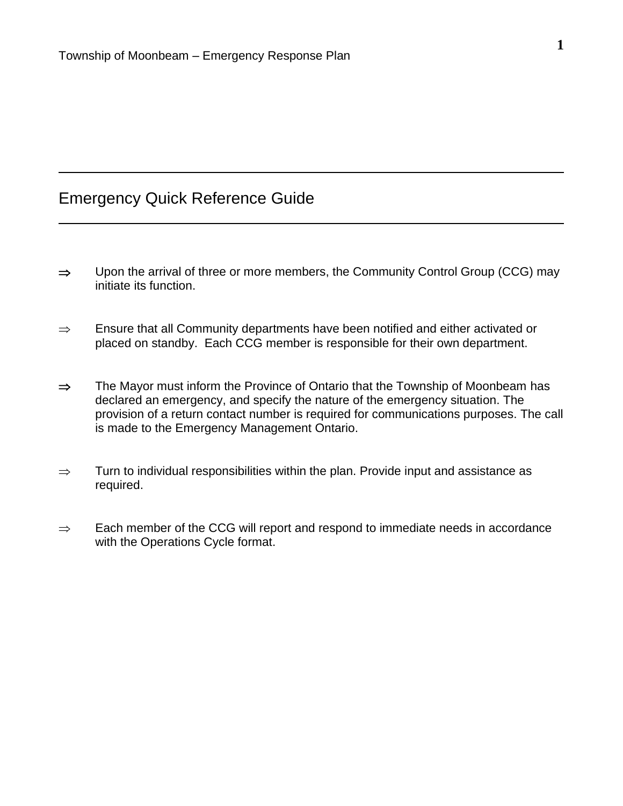# Emergency Quick Reference Guide

- $\Rightarrow$  Upon the arrival of three or more members, the Community Control Group (CCG) may initiate its function.
- $\Rightarrow$  Ensure that all Community departments have been notified and either activated or placed on standby. Each CCG member is responsible for their own department.
- $\Rightarrow$  The Mayor must inform the Province of Ontario that the Township of Moonbeam has declared an emergency, and specify the nature of the emergency situation. The provision of a return contact number is required for communications purposes. The call is made to the Emergency Management Ontario.
- $\Rightarrow$  Turn to individual responsibilities within the plan. Provide input and assistance as required.
- $\Rightarrow$  Each member of the CCG will report and respond to immediate needs in accordance with the Operations Cycle format.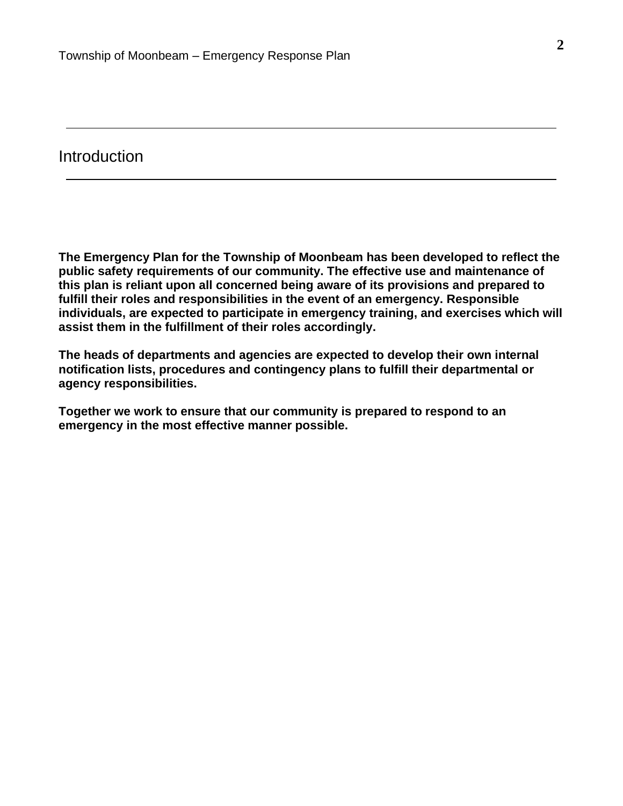## **Introduction**

**The Emergency Plan for the Township of Moonbeam has been developed to reflect the public safety requirements of our community. The effective use and maintenance of this plan is reliant upon all concerned being aware of its provisions and prepared to fulfill their roles and responsibilities in the event of an emergency. Responsible individuals, are expected to participate in emergency training, and exercises which will assist them in the fulfillment of their roles accordingly.**

**The heads of departments and agencies are expected to develop their own internal notification lists, procedures and contingency plans to fulfill their departmental or agency responsibilities.**

**Together we work to ensure that our community is prepared to respond to an emergency in the most effective manner possible.**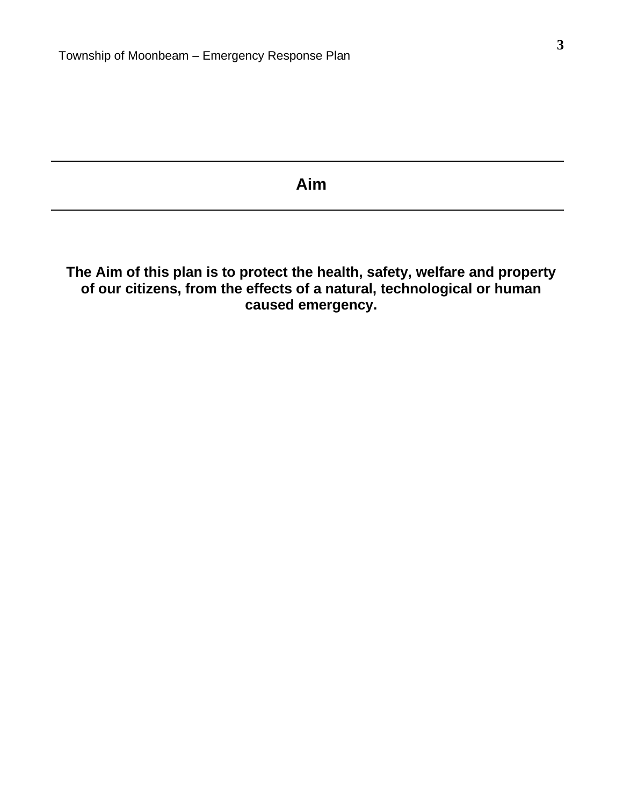# **Aim**

**The Aim of this plan is to protect the health, safety, welfare and property of our citizens, from the effects of a natural, technological or human caused emergency.**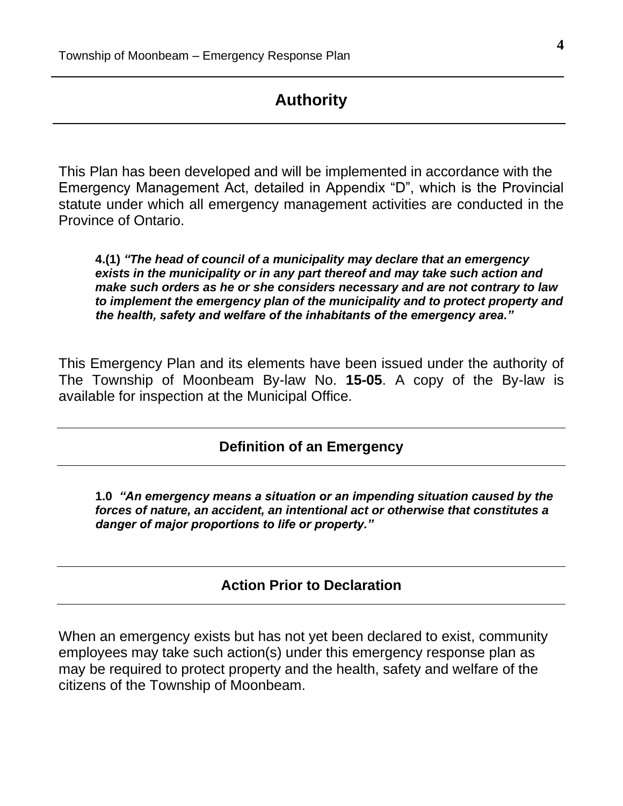## **Authority**

This Plan has been developed and will be implemented in accordance with the Emergency Management Act, detailed in Appendix "D", which is the Provincial statute under which all emergency management activities are conducted in the Province of Ontario.

**4.(1)** *"The head of council of a municipality may declare that an emergency exists in the municipality or in any part thereof and may take such action and make such orders as he or she considers necessary and are not contrary to law to implement the emergency plan of the municipality and to protect property and the health, safety and welfare of the inhabitants of the emergency area."*

This Emergency Plan and its elements have been issued under the authority of The Township of Moonbeam By-law No. **15-05**. A copy of the By-law is available for inspection at the Municipal Office.

### **Definition of an Emergency**

**1.0** *"An emergency means a situation or an impending situation caused by the forces of nature, an accident, an intentional act or otherwise that constitutes a danger of major proportions to life or property."*

### **Action Prior to Declaration**

When an emergency exists but has not yet been declared to exist, community employees may take such action(s) under this emergency response plan as may be required to protect property and the health, safety and welfare of the citizens of the Township of Moonbeam.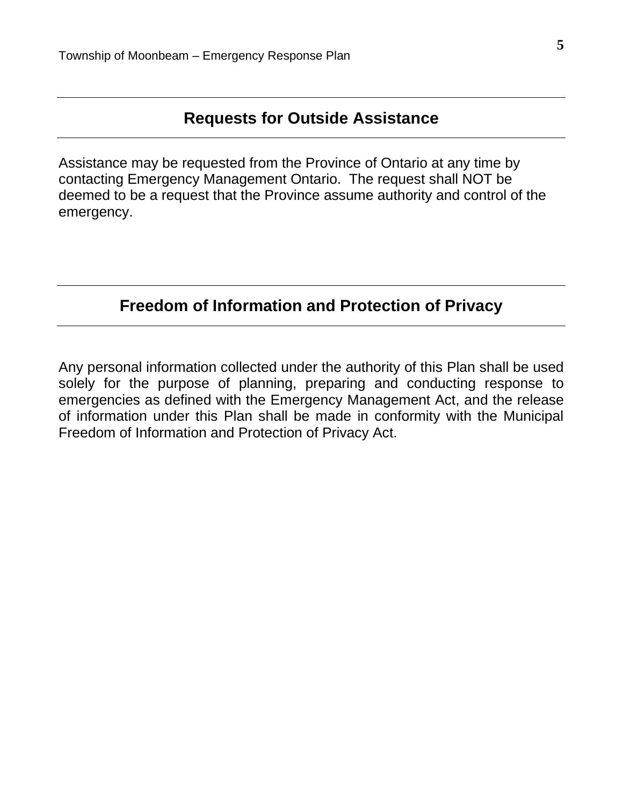# **Requests for Outside Assistance**

Assistance may be requested from the Province of Ontario at any time by contacting Emergency Management Ontario. The request shall NOT be deemed to be a request that the Province assume authority and control of the emergency.

# **Freedom of Information and Protection of Privacy**

Any personal information collected under the authority of this Plan shall be used solely for the purpose of planning, preparing and conducting response to emergencies as defined with the Emergency Management Act, and the release of information under this Plan shall be made in conformity with the Municipal Freedom of Information and Protection of Privacy Act.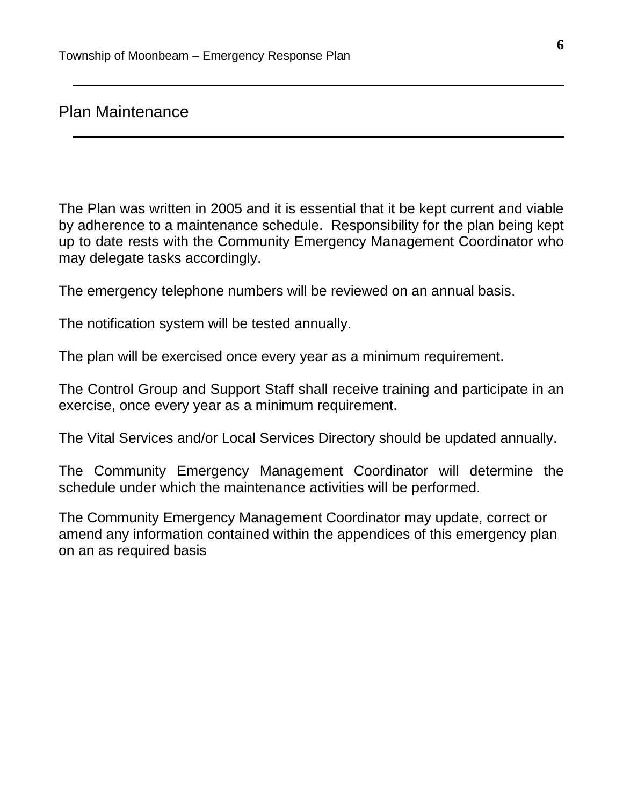## Plan Maintenance

The Plan was written in 2005 and it is essential that it be kept current and viable by adherence to a maintenance schedule. Responsibility for the plan being kept up to date rests with the Community Emergency Management Coordinator who may delegate tasks accordingly.

The emergency telephone numbers will be reviewed on an annual basis.

The notification system will be tested annually.

The plan will be exercised once every year as a minimum requirement.

The Control Group and Support Staff shall receive training and participate in an exercise, once every year as a minimum requirement.

The Vital Services and/or Local Services Directory should be updated annually.

The Community Emergency Management Coordinator will determine the schedule under which the maintenance activities will be performed.

The Community Emergency Management Coordinator may update, correct or amend any information contained within the appendices of this emergency plan on an as required basis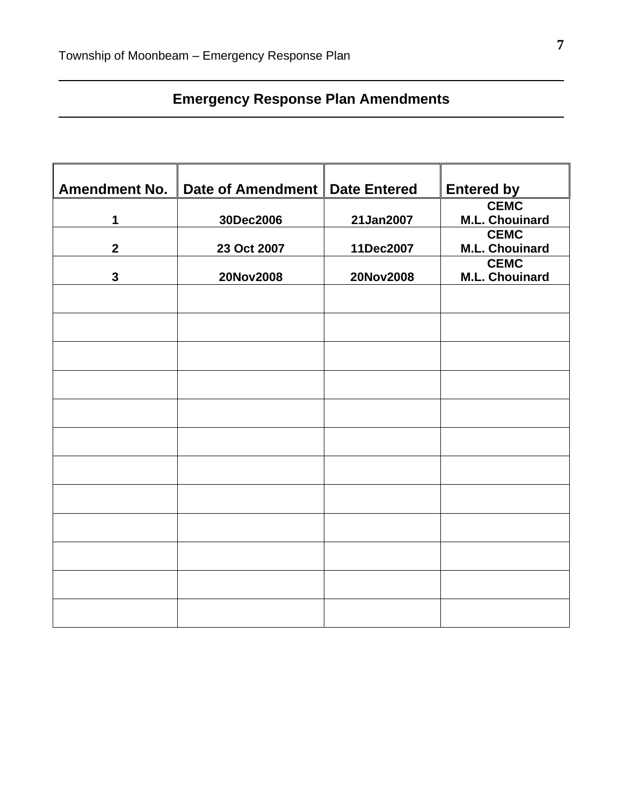# **Emergency Response Plan Amendments**

| <b>Amendment No.</b> | Date of Amendment | <b>Date Entered</b> | <b>Entered by</b>                    |
|----------------------|-------------------|---------------------|--------------------------------------|
| 1                    | 30Dec2006         | 21Jan2007           | <b>CEMC</b><br><b>M.L. Chouinard</b> |
| $\overline{2}$       | 23 Oct 2007       | 11Dec2007           | <b>CEMC</b><br><b>M.L. Chouinard</b> |
| $\mathbf{3}$         | 20Nov2008         | 20Nov2008           | <b>CEMC</b><br><b>M.L. Chouinard</b> |
|                      |                   |                     |                                      |
|                      |                   |                     |                                      |
|                      |                   |                     |                                      |
|                      |                   |                     |                                      |
|                      |                   |                     |                                      |
|                      |                   |                     |                                      |
|                      |                   |                     |                                      |
|                      |                   |                     |                                      |
|                      |                   |                     |                                      |
|                      |                   |                     |                                      |
|                      |                   |                     |                                      |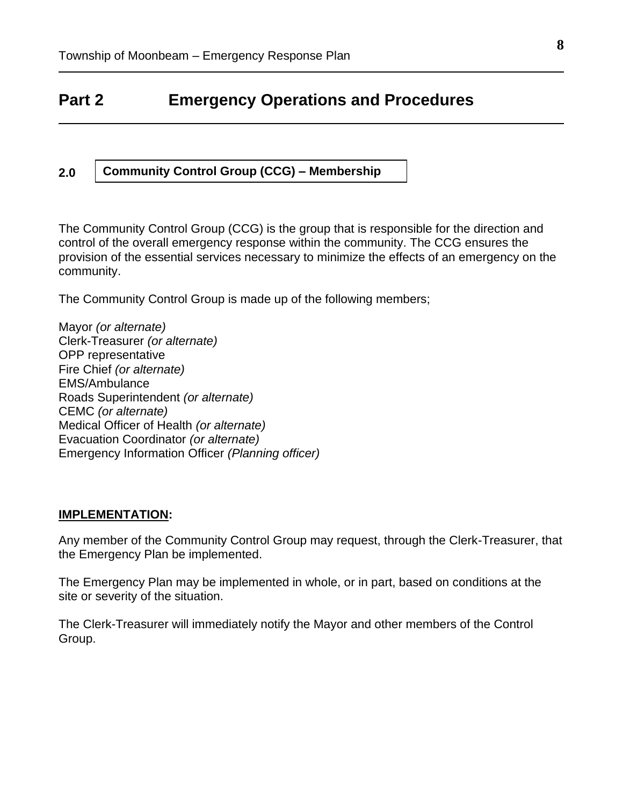# **Part 2 Emergency Operations and Procedures**

#### **2.0 Community Control Group (CCG) – Membership**

The Community Control Group (CCG) is the group that is responsible for the direction and control of the overall emergency response within the community. The CCG ensures the provision of the essential services necessary to minimize the effects of an emergency on the community.

The Community Control Group is made up of the following members;

Mayor *(or alternate)* Clerk-Treasurer *(or alternate)* OPP representative Fire Chief *(or alternate)* EMS/Ambulance Roads Superintendent *(or alternate)* CEMC *(or alternate)* Medical Officer of Health *(or alternate)* Evacuation Coordinator *(or alternate)* Emergency Information Officer *(Planning officer)*

### **IMPLEMENTATION:**

Any member of the Community Control Group may request, through the Clerk-Treasurer, that the Emergency Plan be implemented.

The Emergency Plan may be implemented in whole, or in part, based on conditions at the site or severity of the situation.

The Clerk-Treasurer will immediately notify the Mayor and other members of the Control Group.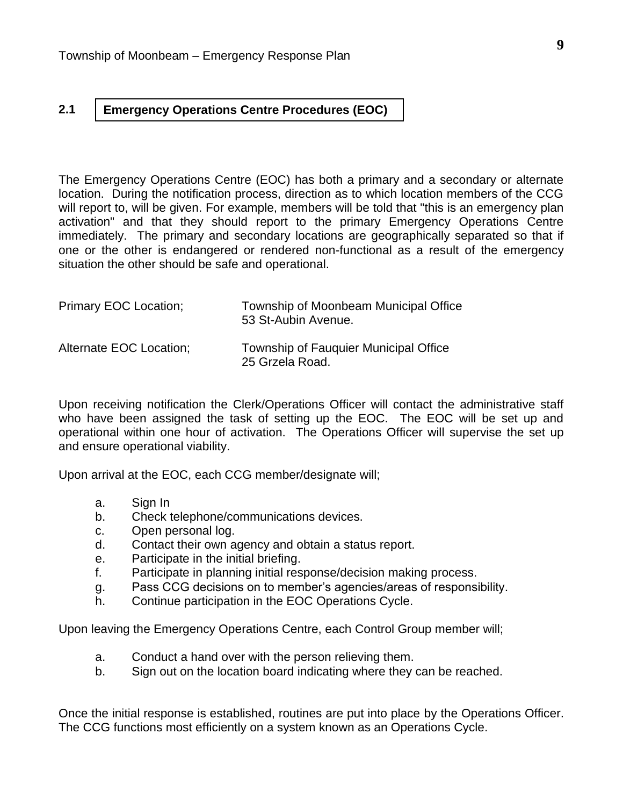#### **2.1 Emergency Operations Centre Procedures (EOC)**

The Emergency Operations Centre (EOC) has both a primary and a secondary or alternate location. During the notification process, direction as to which location members of the CCG will report to, will be given. For example, members will be told that "this is an emergency plan activation" and that they should report to the primary Emergency Operations Centre immediately. The primary and secondary locations are geographically separated so that if one or the other is endangered or rendered non-functional as a result of the emergency situation the other should be safe and operational.

| Primary EOC Location;   | Township of Moonbeam Municipal Office<br>53 St-Aubin Avenue.    |
|-------------------------|-----------------------------------------------------------------|
| Alternate EOC Location; | <b>Township of Fauguier Municipal Office</b><br>25 Grzela Road. |

Upon receiving notification the Clerk/Operations Officer will contact the administrative staff who have been assigned the task of setting up the EOC. The EOC will be set up and operational within one hour of activation. The Operations Officer will supervise the set up and ensure operational viability.

Upon arrival at the EOC, each CCG member/designate will;

- a. Sign In
- b. Check telephone/communications devices.
- c. Open personal log.
- d. Contact their own agency and obtain a status report.
- e. Participate in the initial briefing.
- f. Participate in planning initial response/decision making process.
- g. Pass CCG decisions on to member's agencies/areas of responsibility.
- h. Continue participation in the EOC Operations Cycle.

Upon leaving the Emergency Operations Centre, each Control Group member will;

- a. Conduct a hand over with the person relieving them.
- b. Sign out on the location board indicating where they can be reached.

Once the initial response is established, routines are put into place by the Operations Officer. The CCG functions most efficiently on a system known as an Operations Cycle.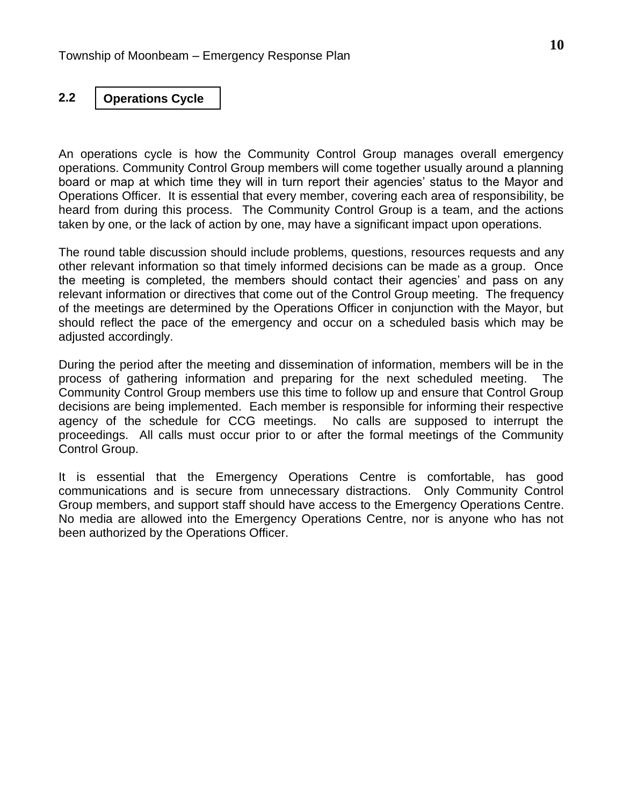#### **2.2 Operations Cycle**

An operations cycle is how the Community Control Group manages overall emergency operations. Community Control Group members will come together usually around a planning board or map at which time they will in turn report their agencies' status to the Mayor and Operations Officer. It is essential that every member, covering each area of responsibility, be heard from during this process. The Community Control Group is a team, and the actions taken by one, or the lack of action by one, may have a significant impact upon operations.

The round table discussion should include problems, questions, resources requests and any other relevant information so that timely informed decisions can be made as a group. Once the meeting is completed, the members should contact their agencies' and pass on any relevant information or directives that come out of the Control Group meeting. The frequency of the meetings are determined by the Operations Officer in conjunction with the Mayor, but should reflect the pace of the emergency and occur on a scheduled basis which may be adjusted accordingly.

During the period after the meeting and dissemination of information, members will be in the process of gathering information and preparing for the next scheduled meeting. The Community Control Group members use this time to follow up and ensure that Control Group decisions are being implemented. Each member is responsible for informing their respective agency of the schedule for CCG meetings. No calls are supposed to interrupt the proceedings. All calls must occur prior to or after the formal meetings of the Community Control Group.

It is essential that the Emergency Operations Centre is comfortable, has good communications and is secure from unnecessary distractions. Only Community Control Group members, and support staff should have access to the Emergency Operations Centre. No media are allowed into the Emergency Operations Centre, nor is anyone who has not been authorized by the Operations Officer.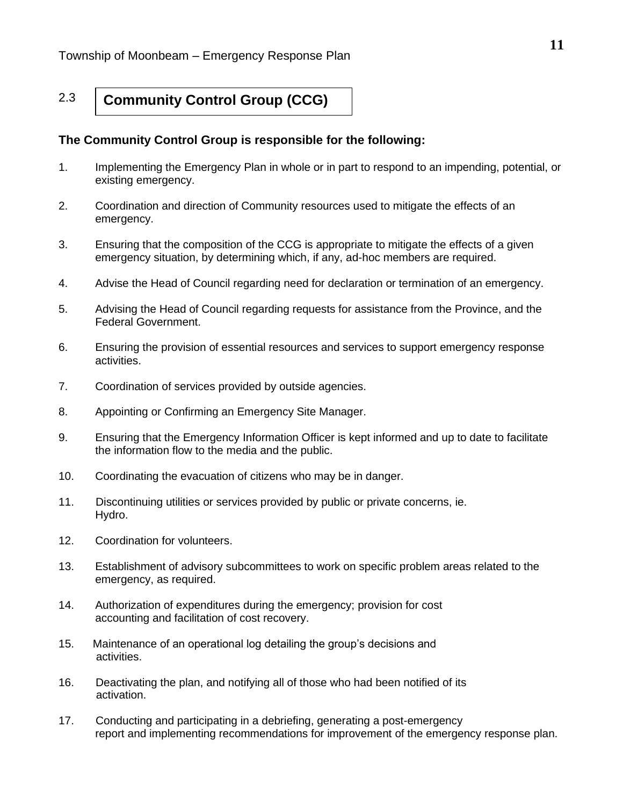#### 2.3 **Community Control Group (CCG)**

### **The Community Control Group is responsible for the following:**

- 1. Implementing the Emergency Plan in whole or in part to respond to an impending, potential, or existing emergency.
- 2. Coordination and direction of Community resources used to mitigate the effects of an emergency.
- 3. Ensuring that the composition of the CCG is appropriate to mitigate the effects of a given emergency situation, by determining which, if any, ad-hoc members are required.
- 4. Advise the Head of Council regarding need for declaration or termination of an emergency.
- 5. Advising the Head of Council regarding requests for assistance from the Province, and the Federal Government.
- 6. Ensuring the provision of essential resources and services to support emergency response activities.
- 7. Coordination of services provided by outside agencies.
- 8. Appointing or Confirming an Emergency Site Manager.
- 9. Ensuring that the Emergency Information Officer is kept informed and up to date to facilitate the information flow to the media and the public.
- 10. Coordinating the evacuation of citizens who may be in danger.
- 11. Discontinuing utilities or services provided by public or private concerns, ie. Hydro.
- 12. Coordination for volunteers.
- 13. Establishment of advisory subcommittees to work on specific problem areas related to the emergency, as required.
- 14. Authorization of expenditures during the emergency; provision for cost accounting and facilitation of cost recovery.
- 15. Maintenance of an operational log detailing the group's decisions and activities.
- 16. Deactivating the plan, and notifying all of those who had been notified of its activation.
- 17. Conducting and participating in a debriefing, generating a post-emergency report and implementing recommendations for improvement of the emergency response plan.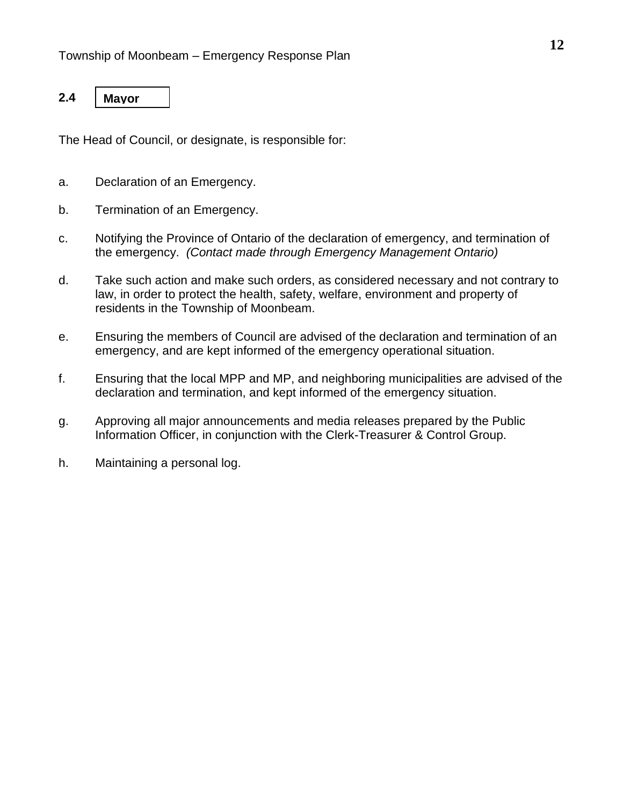#### **2.4 Mayor**

The Head of Council, or designate, is responsible for:

- a. Declaration of an Emergency.
- b. Termination of an Emergency.
- c. Notifying the Province of Ontario of the declaration of emergency, and termination of the emergency. *(Contact made through Emergency Management Ontario)*
- d. Take such action and make such orders, as considered necessary and not contrary to law, in order to protect the health, safety, welfare, environment and property of residents in the Township of Moonbeam.
- e. Ensuring the members of Council are advised of the declaration and termination of an emergency, and are kept informed of the emergency operational situation.
- f. Ensuring that the local MPP and MP, and neighboring municipalities are advised of the declaration and termination, and kept informed of the emergency situation.
- g. Approving all major announcements and media releases prepared by the Public Information Officer, in conjunction with the Clerk-Treasurer & Control Group.
- h. Maintaining a personal log.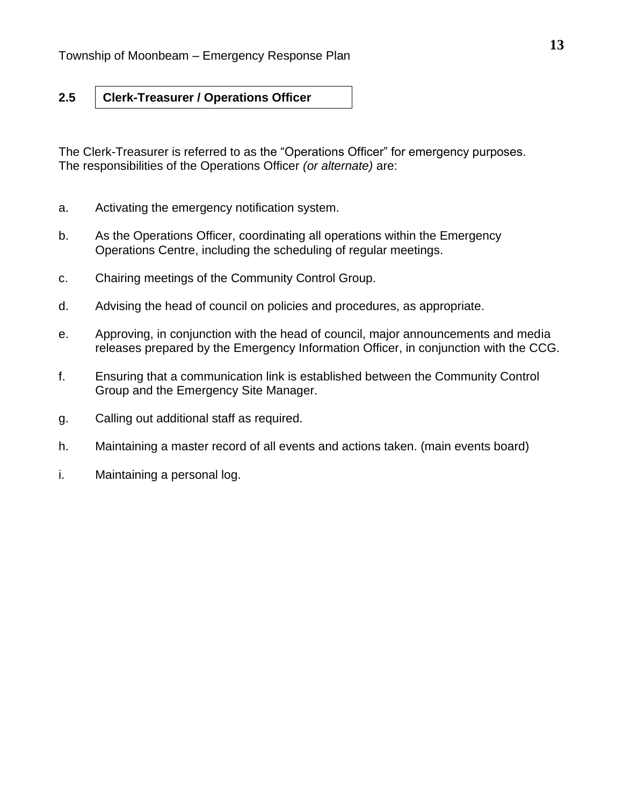#### **2.5 Clerk-Treasurer / Operations Officer**

The Clerk-Treasurer is referred to as the "Operations Officer" for emergency purposes. The responsibilities of the Operations Officer *(or alternate)* are:

- a. Activating the emergency notification system.
- b. As the Operations Officer, coordinating all operations within the Emergency Operations Centre, including the scheduling of regular meetings.
- c. Chairing meetings of the Community Control Group.
- d. Advising the head of council on policies and procedures, as appropriate.
- e. Approving, in conjunction with the head of council, major announcements and media releases prepared by the Emergency Information Officer, in conjunction with the CCG.
- f. Ensuring that a communication link is established between the Community Control Group and the Emergency Site Manager.
- g. Calling out additional staff as required.
- h. Maintaining a master record of all events and actions taken. (main events board)
- i. Maintaining a personal log.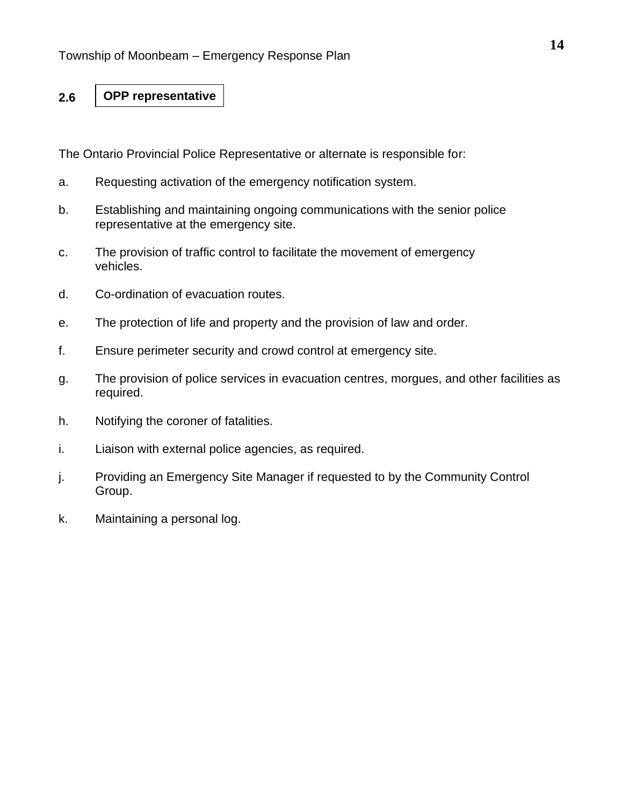#### **2.6 OPP representative**

The Ontario Provincial Police Representative or alternate is responsible for:

- a. Requesting activation of the emergency notification system.
- b. Establishing and maintaining ongoing communications with the senior police representative at the emergency site.
- c. The provision of traffic control to facilitate the movement of emergency vehicles.
- d. Co-ordination of evacuation routes.
- e. The protection of life and property and the provision of law and order.
- f. Ensure perimeter security and crowd control at emergency site.
- g. The provision of police services in evacuation centres, morgues, and other facilities as required.
- h. Notifying the coroner of fatalities.
- i. Liaison with external police agencies, as required.
- j. Providing an Emergency Site Manager if requested to by the Community Control Group.
- k. Maintaining a personal log.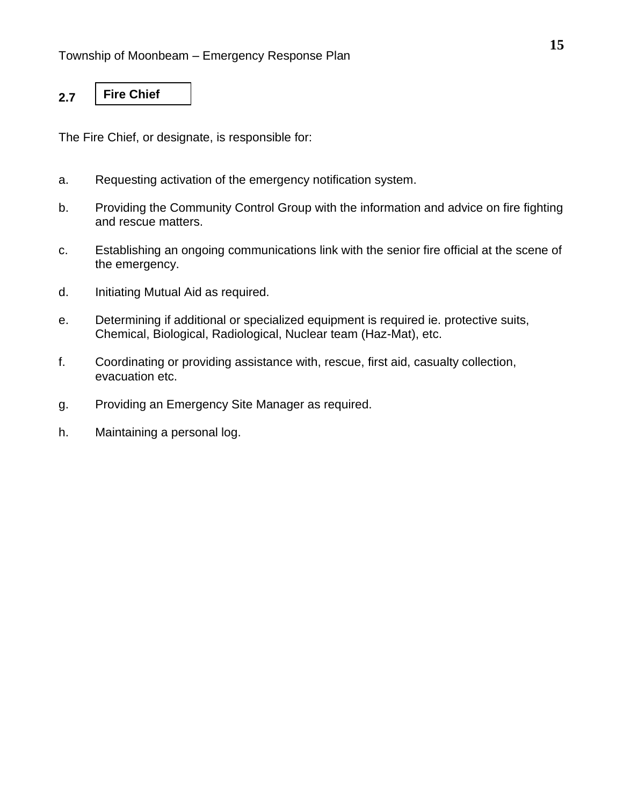#### **2.7 Fire Chief**

The Fire Chief, or designate, is responsible for:

- a. Requesting activation of the emergency notification system.
- b. Providing the Community Control Group with the information and advice on fire fighting and rescue matters.
- c. Establishing an ongoing communications link with the senior fire official at the scene of the emergency.
- d. Initiating Mutual Aid as required.
- e. Determining if additional or specialized equipment is required ie. protective suits, Chemical, Biological, Radiological, Nuclear team (Haz-Mat), etc.
- f. Coordinating or providing assistance with, rescue, first aid, casualty collection, evacuation etc.
- g. Providing an Emergency Site Manager as required.
- h. Maintaining a personal log.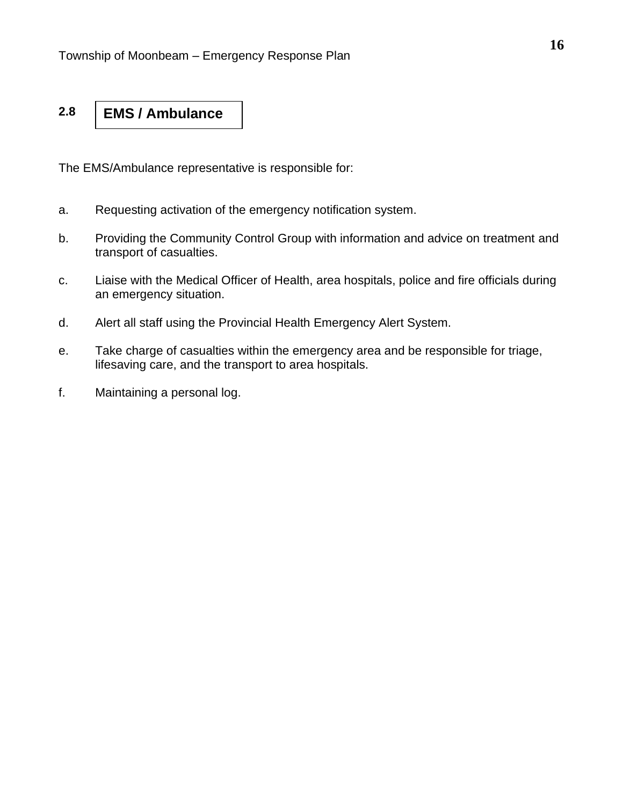#### **2.8 EMS / Ambulance**

The EMS/Ambulance representative is responsible for:

- a. Requesting activation of the emergency notification system.
- b. Providing the Community Control Group with information and advice on treatment and transport of casualties.
- c. Liaise with the Medical Officer of Health, area hospitals, police and fire officials during an emergency situation.
- d. Alert all staff using the Provincial Health Emergency Alert System.
- e. Take charge of casualties within the emergency area and be responsible for triage, lifesaving care, and the transport to area hospitals.
- f. Maintaining a personal log.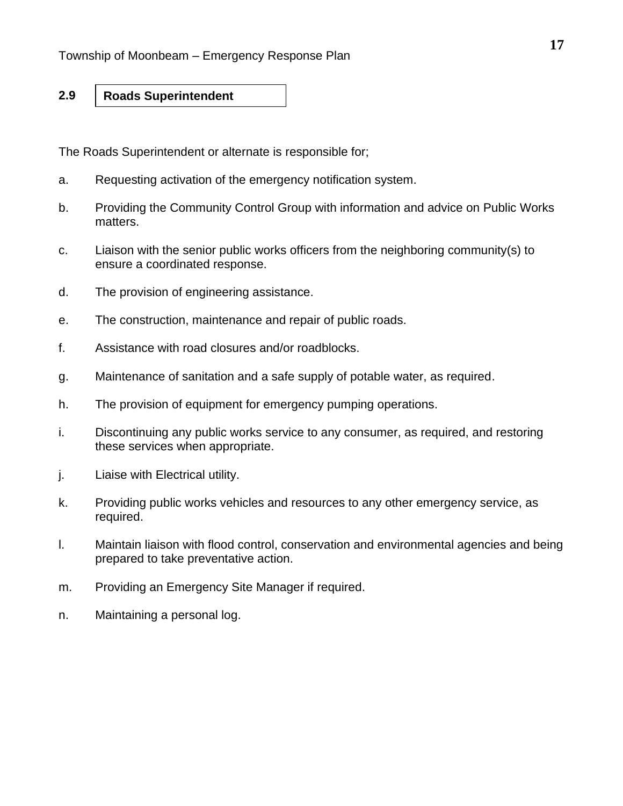#### **2.9 Roads Superintendent**

The Roads Superintendent or alternate is responsible for;

- a. Requesting activation of the emergency notification system.
- b. Providing the Community Control Group with information and advice on Public Works matters.
- c. Liaison with the senior public works officers from the neighboring community(s) to ensure a coordinated response.
- d. The provision of engineering assistance.
- e. The construction, maintenance and repair of public roads.
- f. Assistance with road closures and/or roadblocks.
- g. Maintenance of sanitation and a safe supply of potable water, as required.
- h. The provision of equipment for emergency pumping operations.
- i. Discontinuing any public works service to any consumer, as required, and restoring these services when appropriate.
- j. Liaise with Electrical utility.
- k. Providing public works vehicles and resources to any other emergency service, as required.
- l. Maintain liaison with flood control, conservation and environmental agencies and being prepared to take preventative action.
- m. Providing an Emergency Site Manager if required.
- n. Maintaining a personal log.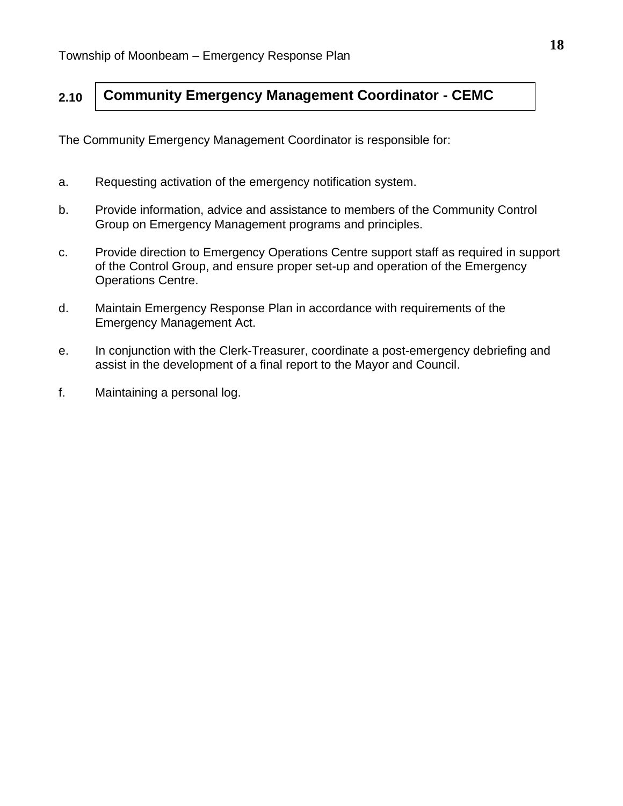#### **2.10 Community Emergency Management Coordinator - CEMC**

The Community Emergency Management Coordinator is responsible for:

- a. Requesting activation of the emergency notification system.
- b. Provide information, advice and assistance to members of the Community Control Group on Emergency Management programs and principles.
- c. Provide direction to Emergency Operations Centre support staff as required in support of the Control Group, and ensure proper set-up and operation of the Emergency Operations Centre.
- d. Maintain Emergency Response Plan in accordance with requirements of the Emergency Management Act.
- e. In conjunction with the Clerk-Treasurer, coordinate a post-emergency debriefing and assist in the development of a final report to the Mayor and Council.
- f. Maintaining a personal log.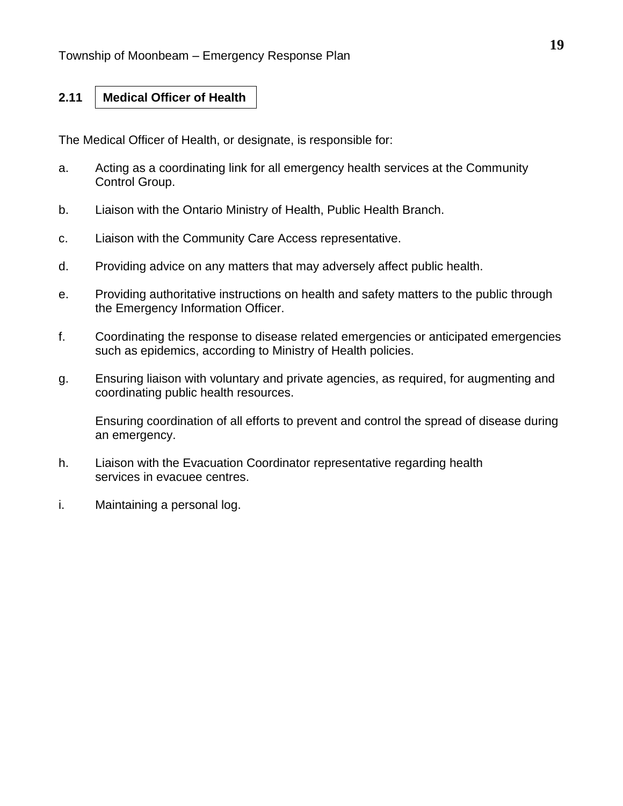#### **2.11 Medical Officer of Health**

The Medical Officer of Health, or designate, is responsible for:

- a. Acting as a coordinating link for all emergency health services at the Community Control Group.
- b. Liaison with the Ontario Ministry of Health, Public Health Branch.
- c. Liaison with the Community Care Access representative.
- d. Providing advice on any matters that may adversely affect public health.
- e. Providing authoritative instructions on health and safety matters to the public through the Emergency Information Officer.
- f. Coordinating the response to disease related emergencies or anticipated emergencies such as epidemics, according to Ministry of Health policies.
- g. Ensuring liaison with voluntary and private agencies, as required, for augmenting and coordinating public health resources.

Ensuring coordination of all efforts to prevent and control the spread of disease during an emergency.

- h. Liaison with the Evacuation Coordinator representative regarding health services in evacuee centres.
- i. Maintaining a personal log.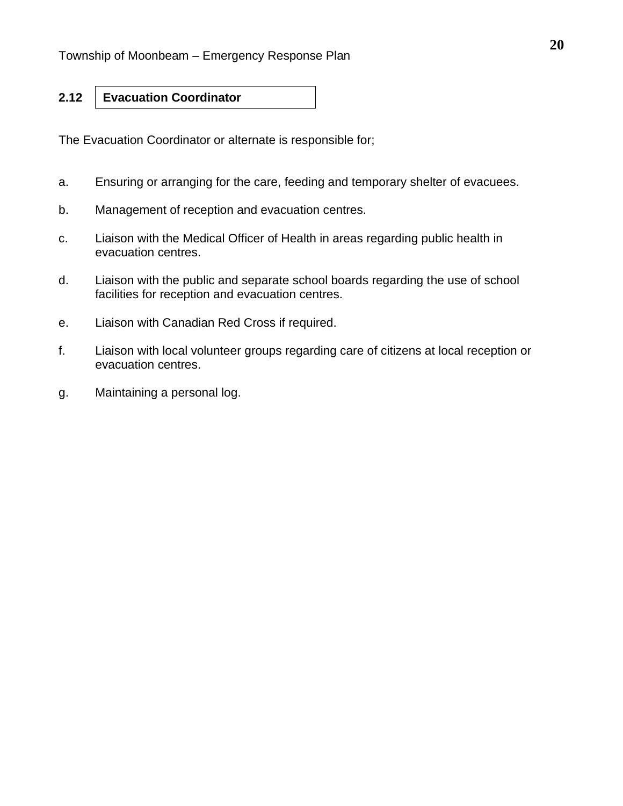### **2.12**

**Evacuation Coordinator**

The Evacuation Coordinator or alternate is responsible for;

- a. Ensuring or arranging for the care, feeding and temporary shelter of evacuees.
- b. Management of reception and evacuation centres.
- c. Liaison with the Medical Officer of Health in areas regarding public health in evacuation centres.
- d. Liaison with the public and separate school boards regarding the use of school facilities for reception and evacuation centres.
- e. Liaison with Canadian Red Cross if required.
- f. Liaison with local volunteer groups regarding care of citizens at local reception or evacuation centres.
- g. Maintaining a personal log.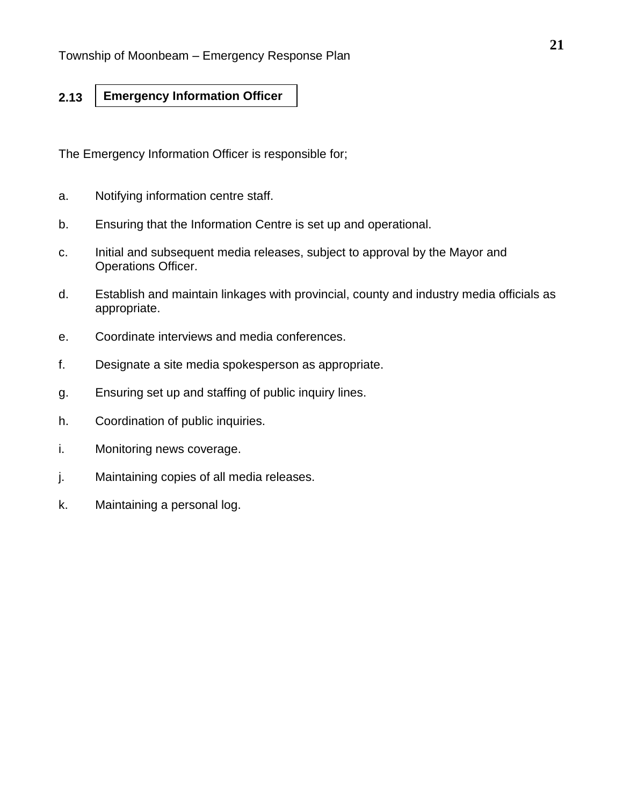#### **2.13 Emergency Information Officer**

The Emergency Information Officer is responsible for;

- a. Notifying information centre staff.
- b. Ensuring that the Information Centre is set up and operational.
- c. Initial and subsequent media releases, subject to approval by the Mayor and Operations Officer.
- d. Establish and maintain linkages with provincial, county and industry media officials as appropriate.
- e. Coordinate interviews and media conferences.
- f. Designate a site media spokesperson as appropriate.
- g. Ensuring set up and staffing of public inquiry lines.
- h. Coordination of public inquiries.
- i. Monitoring news coverage.
- j. Maintaining copies of all media releases.
- k. Maintaining a personal log.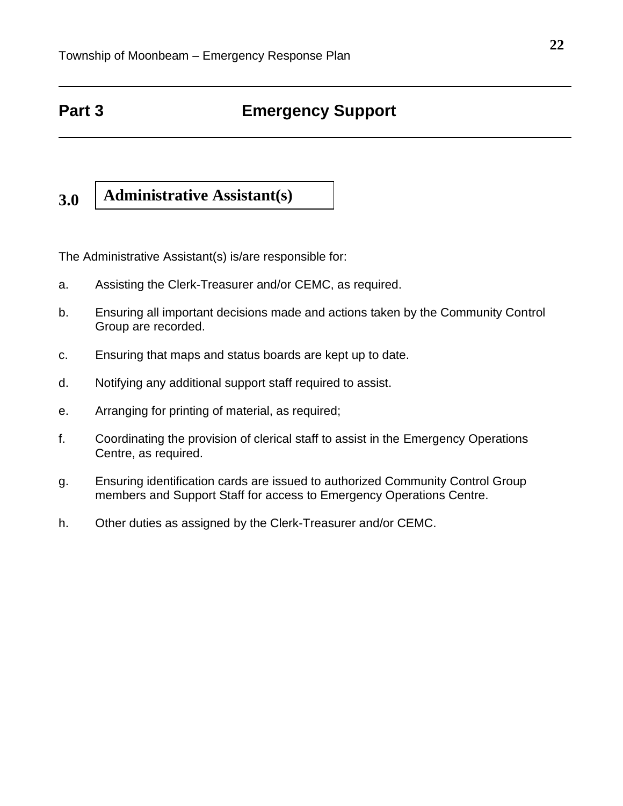# **Part 3 Emergency Support**

#### **3.0 Administrative Assistant(s)**

The Administrative Assistant(s) is/are responsible for:

- a. Assisting the Clerk-Treasurer and/or CEMC, as required.
- b. Ensuring all important decisions made and actions taken by the Community Control Group are recorded.
- c. Ensuring that maps and status boards are kept up to date.
- d. Notifying any additional support staff required to assist.
- e. Arranging for printing of material, as required;
- f. Coordinating the provision of clerical staff to assist in the Emergency Operations Centre, as required.
- g. Ensuring identification cards are issued to authorized Community Control Group members and Support Staff for access to Emergency Operations Centre.
- h. Other duties as assigned by the Clerk-Treasurer and/or CEMC.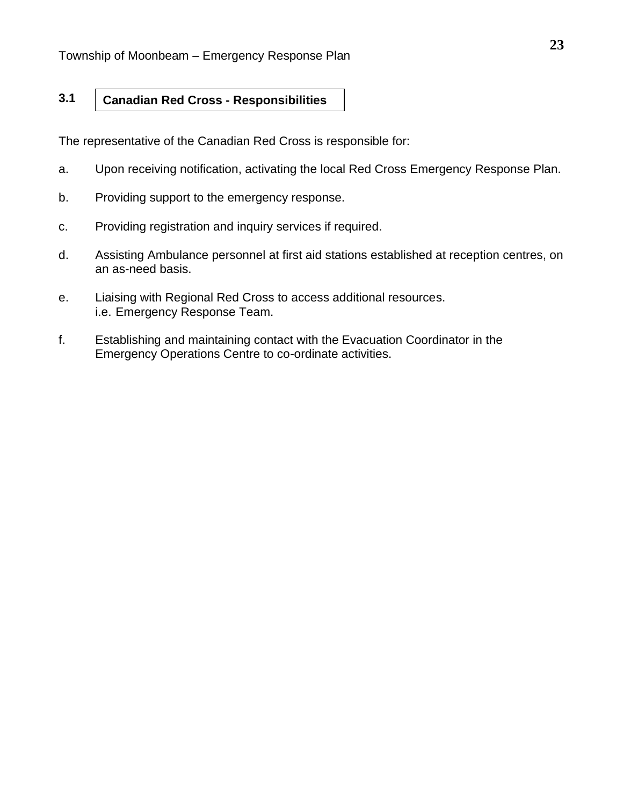#### **3.1 Canadian Red Cross - Responsibilities**

The representative of the Canadian Red Cross is responsible for:

- a. Upon receiving notification, activating the local Red Cross Emergency Response Plan.
- b. Providing support to the emergency response.
- c. Providing registration and inquiry services if required.
- d. Assisting Ambulance personnel at first aid stations established at reception centres, on an as-need basis.
- e. Liaising with Regional Red Cross to access additional resources. i.e. Emergency Response Team.
- f. Establishing and maintaining contact with the Evacuation Coordinator in the Emergency Operations Centre to co-ordinate activities.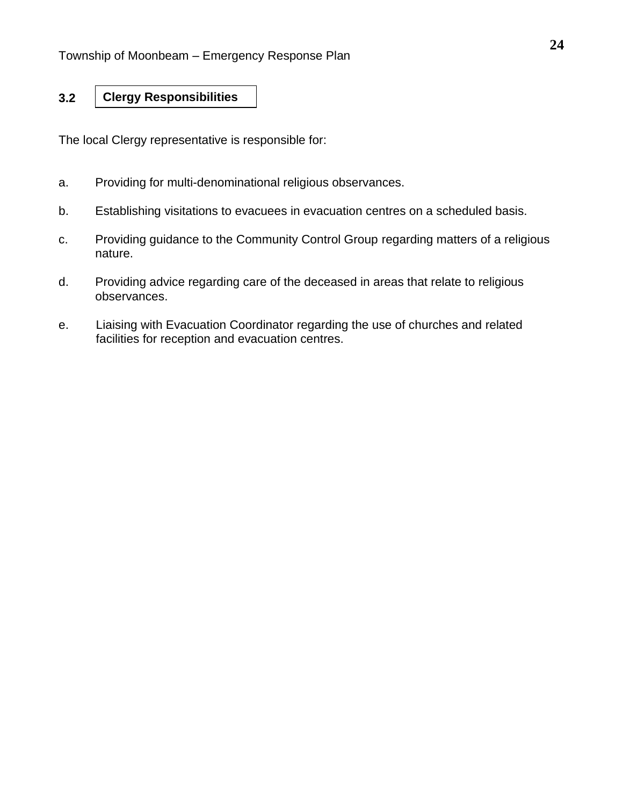#### **3.2 Clergy Responsibilities**

The local Clergy representative is responsible for:

- a. Providing for multi-denominational religious observances.
- b. Establishing visitations to evacuees in evacuation centres on a scheduled basis.
- c. Providing guidance to the Community Control Group regarding matters of a religious nature.
- d. Providing advice regarding care of the deceased in areas that relate to religious observances.
- e. Liaising with Evacuation Coordinator regarding the use of churches and related facilities for reception and evacuation centres.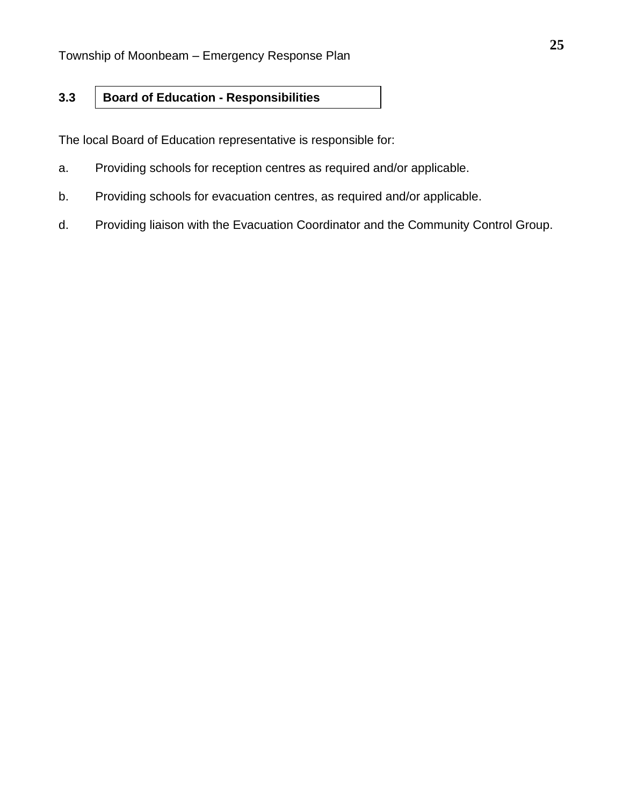#### **3.3 Board of Education - Responsibilities**

The local Board of Education representative is responsible for:

- a. Providing schools for reception centres as required and/or applicable.
- b. Providing schools for evacuation centres, as required and/or applicable.
- d. Providing liaison with the Evacuation Coordinator and the Community Control Group.